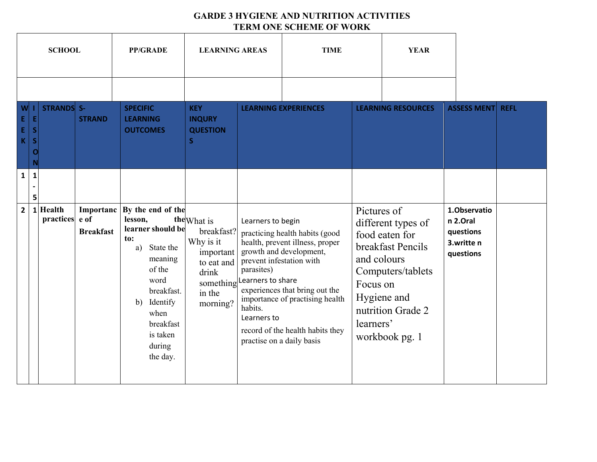## **GARDE 3 HYGIENE AND NUTRITION ACTIVITIES TERM ONE SCHEME OF WORK**

|                                |                                     | <b>SCHOOL</b>         |                                       | <b>PP/GRADE</b>                                                                                                                                                                                 | <b>LEARNING AREAS</b>                                                                                         |                                                                                                                                         | <b>TIME</b>                                                                                                                                                                                           |                                                     | <b>YEAR</b>                                                                                                                          |                                                                  |             |
|--------------------------------|-------------------------------------|-----------------------|---------------------------------------|-------------------------------------------------------------------------------------------------------------------------------------------------------------------------------------------------|---------------------------------------------------------------------------------------------------------------|-----------------------------------------------------------------------------------------------------------------------------------------|-------------------------------------------------------------------------------------------------------------------------------------------------------------------------------------------------------|-----------------------------------------------------|--------------------------------------------------------------------------------------------------------------------------------------|------------------------------------------------------------------|-------------|
| W<br>E,<br>Ė,<br>K             | E<br>S<br>S<br>O<br>N               | <b>STRANDS</b> S-     | <b>STRAND</b>                         | <b>SPECIFIC</b><br><b>LEARNING</b><br><b>OUTCOMES</b>                                                                                                                                           | <b>KEY</b><br><b>INQURY</b><br><b>QUESTION</b><br>S.                                                          |                                                                                                                                         | <b>LEARNING EXPERIENCES</b>                                                                                                                                                                           |                                                     | <b>LEARNING RESOURCES</b>                                                                                                            | <b>ASSESS MENT</b>                                               | <b>REFL</b> |
| $\mathbf{1}$<br>2 <sup>1</sup> | $\mathbf{1}$<br>$\blacksquare$<br>5 | 1 Health<br>practices | Importanc<br>e of<br><b>Breakfast</b> | By the end of the<br>lesson,<br>learner should be<br>to:<br>State the<br>a)<br>meaning<br>of the<br>word<br>breakfast.<br>Identify<br>b)<br>when<br>breakfast<br>is taken<br>during<br>the day. | the What is<br>breakfast?<br>Why is it<br>important<br>to eat and<br>drink<br>something<br>in the<br>morning? | Learners to begin<br>prevent infestation with<br>parasites)<br>Learners to share<br>habits.<br>Learners to<br>practise on a daily basis | practicing health habits (good<br>health, prevent illness, proper<br>growth and development,<br>experiences that bring out the<br>importance of practising health<br>record of the health habits they | Pictures of<br>and colours<br>Focus on<br>learners' | different types of<br>food eaten for<br>breakfast Pencils<br>Computers/tablets<br>Hygiene and<br>nutrition Grade 2<br>workbook pg. 1 | 1.Observatio<br>n 2.Oral<br>questions<br>3.writte n<br>questions |             |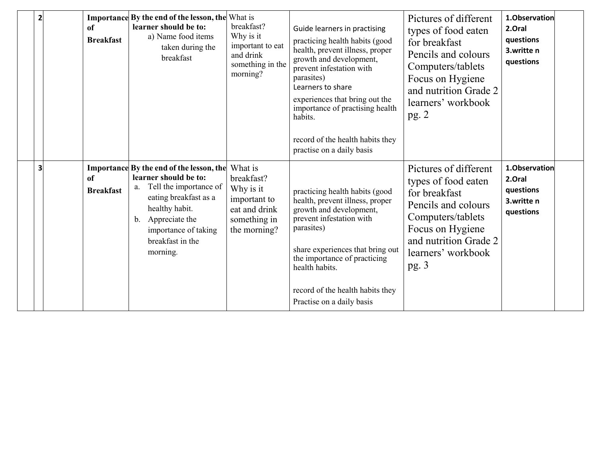| $\overline{2}$ | of<br><b>Breakfast</b> | <b>Importance By the end of the lesson, the What is</b><br>learner should be to:<br>a) Name food items<br>taken during the<br>breakfast                                                                                                     | breakfast?<br>Why is it<br>important to eat<br>and drink<br>something in the<br>morning? | Guide learners in practising<br>practicing health habits (good<br>health, prevent illness, proper<br>growth and development,<br>prevent infestation with<br>parasites)<br>Learners to share<br>experiences that bring out the<br>importance of practising health<br>habits.<br>record of the health habits they<br>practise on a daily basis | Pictures of different<br>types of food eaten<br>for breakfast<br>Pencils and colours<br>Computers/tablets<br>Focus on Hygiene<br>and nutrition Grade 2<br>learners' workbook<br>pg.2 | 1.Observation<br>2.Oral<br>questions<br>3.writte n<br>questions |  |
|----------------|------------------------|---------------------------------------------------------------------------------------------------------------------------------------------------------------------------------------------------------------------------------------------|------------------------------------------------------------------------------------------|----------------------------------------------------------------------------------------------------------------------------------------------------------------------------------------------------------------------------------------------------------------------------------------------------------------------------------------------|--------------------------------------------------------------------------------------------------------------------------------------------------------------------------------------|-----------------------------------------------------------------|--|
| з              | of<br><b>Breakfast</b> | <b>Importance By the end of the lesson, the What is</b><br>learner should be to:<br>Tell the importance of<br>a.<br>eating breakfast as a<br>healthy habit.<br>Appreciate the<br>b.<br>importance of taking<br>breakfast in the<br>morning. | breakfast?<br>Why is it<br>important to<br>eat and drink<br>something in<br>the morning? | practicing health habits (good<br>health, prevent illness, proper<br>growth and development,<br>prevent infestation with<br>parasites)<br>share experiences that bring out<br>the importance of practicing<br>health habits.<br>record of the health habits they<br>Practise on a daily basis                                                | Pictures of different<br>types of food eaten<br>for breakfast<br>Pencils and colours<br>Computers/tablets<br>Focus on Hygiene<br>and nutrition Grade 2<br>learners' workbook<br>pg.3 | 1.Observation<br>2.Oral<br>questions<br>3.writte n<br>questions |  |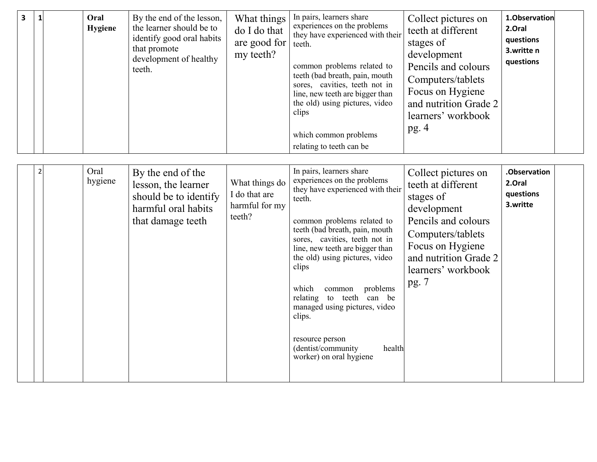| 3 |  | Oral<br>Hygiene | By the end of the lesson,<br>the learner should be to<br>identify good oral habits<br>that promote<br>development of healthy<br>teeth. | What things<br>do I do that<br>are good for<br>my teeth? | In pairs, learners share<br>experiences on the problems<br>they have experienced with their<br>teeth.<br>common problems related to<br>teeth (bad breath, pain, mouth<br>sores, cavities, teeth not in<br>line, new teeth are bigger than<br>the old) using pictures, video<br>clips<br>which common problems<br>relating to teeth can be | Collect pictures on<br>teeth at different<br>stages of<br>development<br>Pencils and colours<br>Computers/tablets<br>Focus on Hygiene<br>and nutrition Grade 2<br>learners' workbook<br>pg. $4$ | 1.Observation<br>2.Oral<br>questions<br>3.writte n<br>questions |  |
|---|--|-----------------|----------------------------------------------------------------------------------------------------------------------------------------|----------------------------------------------------------|-------------------------------------------------------------------------------------------------------------------------------------------------------------------------------------------------------------------------------------------------------------------------------------------------------------------------------------------|-------------------------------------------------------------------------------------------------------------------------------------------------------------------------------------------------|-----------------------------------------------------------------|--|
|   |  | Oral<br>hygiene | By the end of the<br>lesson, the learner<br>.                                                                                          | What things do<br>$I_{\alpha}$ that and                  | In pairs, learners share<br>experiences on the problems<br>they have experienced with their                                                                                                                                                                                                                                               | Collect pictures on<br>teeth at different                                                                                                                                                       | .Observation<br>2.Oral<br>$\ddotsc$                             |  |

| Dy the cause of the<br>hygiene<br>What things do<br>lesson, the learner<br>I do that are<br>should be to identify<br>harmful for my<br>harmful oral habits<br>teeth?<br>that damage teeth | experiences on the problems<br>they have experienced with their<br>teeth.<br>common problems related to<br>teeth (bad breath, pain, mouth<br>sores, cavities, teeth not in<br>line, new teeth are bigger than<br>the old) using pictures, video<br>clips<br>which<br>problems<br>common<br>relating to teeth can be<br>managed using pictures, video<br>clips.<br>resource person<br>health<br>(dentist/community)<br>worker) on oral hygiene | CONCULPIONATO UN<br>2.Oral<br>teeth at different<br>questions<br>stages of<br>3.writte<br>development<br>Pencils and colours<br>Computers/tablets<br>Focus on Hygiene<br>and nutrition Grade 2<br>learners' workbook<br>pg. $7$ |
|-------------------------------------------------------------------------------------------------------------------------------------------------------------------------------------------|-----------------------------------------------------------------------------------------------------------------------------------------------------------------------------------------------------------------------------------------------------------------------------------------------------------------------------------------------------------------------------------------------------------------------------------------------|---------------------------------------------------------------------------------------------------------------------------------------------------------------------------------------------------------------------------------|
|-------------------------------------------------------------------------------------------------------------------------------------------------------------------------------------------|-----------------------------------------------------------------------------------------------------------------------------------------------------------------------------------------------------------------------------------------------------------------------------------------------------------------------------------------------------------------------------------------------------------------------------------------------|---------------------------------------------------------------------------------------------------------------------------------------------------------------------------------------------------------------------------------|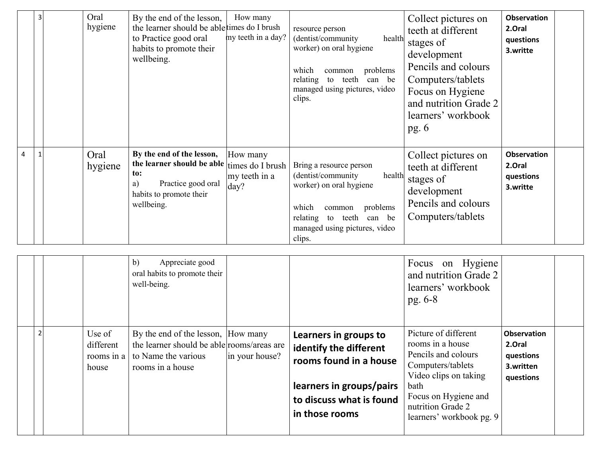|   | 3 | Oral<br>hygiene | By the end of the lesson,<br>the learner should be able times do I brush<br>to Practice good oral<br>habits to promote their<br>wellbeing. | How many<br>my teeth in a day?                        | resource person<br>(dentist/community<br>health<br>worker) on oral hygiene<br>problems<br>which<br>common<br>relating<br>teeth<br>can be<br>to<br>managed using pictures, video<br>clips.         | Collect pictures on<br>teeth at different<br>stages of<br>development<br>Pencils and colours<br>Computers/tablets<br>Focus on Hygiene<br>and nutrition Grade 2<br>learners' workbook<br>pg. $6$ | <b>Observation</b><br>2.Oral<br>questions<br>3.writte |  |
|---|---|-----------------|--------------------------------------------------------------------------------------------------------------------------------------------|-------------------------------------------------------|---------------------------------------------------------------------------------------------------------------------------------------------------------------------------------------------------|-------------------------------------------------------------------------------------------------------------------------------------------------------------------------------------------------|-------------------------------------------------------|--|
| 4 |   | Oral<br>hygiene | By the end of the lesson,<br>the learner should be able<br>to:<br>Practice good oral<br>a)<br>habits to promote their<br>wellbeing.        | How many<br>times do I brush<br>my teeth in a<br>day? | Bring a resource person<br>(dentist/community<br>health<br>worker) on oral hygiene<br>which<br>problems<br>common<br>relating<br>teeth<br>can be<br>to<br>managed using pictures, video<br>clips. | Collect pictures on<br>teeth at different<br>stages of<br>development<br>Pencils and colours<br>Computers/tablets                                                                               | <b>Observation</b><br>2.Oral<br>questions<br>3.writte |  |

|   |                                            | b)<br>Appreciate good<br>oral habits to promote their<br>well-being.                                                                          |                                                                                                                                                     | Focus on Hygiene<br>and nutrition Grade 2<br>learners' workbook<br>$pg. 6-8$                                                                                                                   |                                                                     |  |
|---|--------------------------------------------|-----------------------------------------------------------------------------------------------------------------------------------------------|-----------------------------------------------------------------------------------------------------------------------------------------------------|------------------------------------------------------------------------------------------------------------------------------------------------------------------------------------------------|---------------------------------------------------------------------|--|
| ຳ | Use of<br>different<br>rooms in a<br>house | By the end of the lesson, How many<br>the learner should be able rooms/areas are<br>to Name the various<br>in your house?<br>rooms in a house | Learners in groups to<br>identify the different<br>rooms found in a house<br>learners in groups/pairs<br>to discuss what is found<br>in those rooms | Picture of different<br>rooms in a house<br>Pencils and colours<br>Computers/tablets<br>Video clips on taking<br>bath<br>Focus on Hygiene and<br>nutrition Grade 2<br>learners' workbook pg. 9 | <b>Observation</b><br>2.Oral<br>questions<br>3.written<br>questions |  |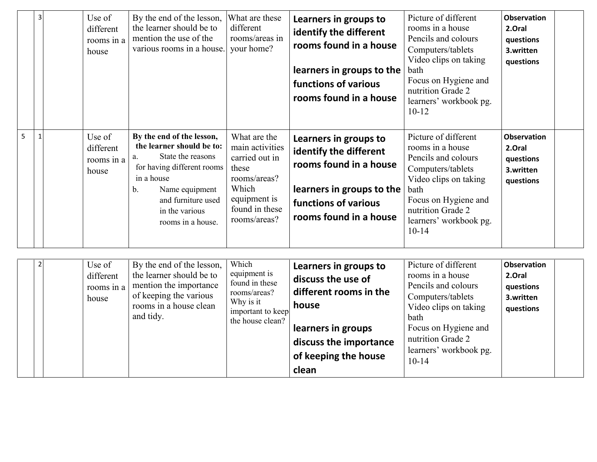|   | 3            | Use of<br>different<br>rooms in a<br>house |          | By the end of the lesson,<br>the learner should be to<br>mention the use of the<br>various rooms in a house.                                                                                           | What are these<br>different<br>rooms/areas in<br>your home?                                                                           | Learners in groups to<br>identify the different<br>rooms found in a house<br>learners in groups to the<br>functions of various<br>rooms found in a house        | Picture of different<br>rooms in a house<br>Pencils and colours<br>Computers/tablets<br>Video clips on taking<br>bath<br>Focus on Hygiene and<br>nutrition Grade 2<br>learners' workbook pg.<br>$10 - 12$ | <b>Observation</b><br>2.Oral<br>questions<br>3.written<br>questions |  |
|---|--------------|--------------------------------------------|----------|--------------------------------------------------------------------------------------------------------------------------------------------------------------------------------------------------------|---------------------------------------------------------------------------------------------------------------------------------------|-----------------------------------------------------------------------------------------------------------------------------------------------------------------|-----------------------------------------------------------------------------------------------------------------------------------------------------------------------------------------------------------|---------------------------------------------------------------------|--|
| 5 | $\mathbf{1}$ | Use of<br>different<br>rooms in a<br>house | a.<br>b. | By the end of the lesson,<br>the learner should be to:<br>State the reasons<br>for having different rooms<br>in a house<br>Name equipment<br>and furniture used<br>in the various<br>rooms in a house. | What are the<br>main activities<br>carried out in<br>these<br>rooms/areas?<br>Which<br>equipment is<br>found in these<br>rooms/areas? | Learners in groups to<br>identify the different<br>rooms found in a house<br>learners in groups to the<br>functions of various<br>rooms found in a house        | Picture of different<br>rooms in a house<br>Pencils and colours<br>Computers/tablets<br>Video clips on taking<br>bath<br>Focus on Hygiene and<br>nutrition Grade 2<br>learners' workbook pg.<br>$10-14$   | <b>Observation</b><br>2.Oral<br>questions<br>3.written<br>questions |  |
|   | $\mathbf 2$  | Use of<br>different<br>rooms in a<br>house |          | By the end of the lesson,<br>the learner should be to<br>mention the importance<br>of keeping the various<br>rooms in a house clean<br>and tidy.                                                       | Which<br>equipment is<br>found in these<br>rooms/areas?<br>Why is it<br>important to keep<br>the house clean?                         | Learners in groups to<br>discuss the use of<br>different rooms in the<br>house<br>learners in groups<br>discuss the importance<br>of keeping the house<br>clean | Picture of different<br>rooms in a house<br>Pencils and colours<br>Computers/tablets<br>Video clips on taking<br>bath<br>Focus on Hygiene and<br>nutrition Grade 2<br>learners' workbook pg.<br>$10-14$   | <b>Observation</b><br>2.Oral<br>questions<br>3.written<br>questions |  |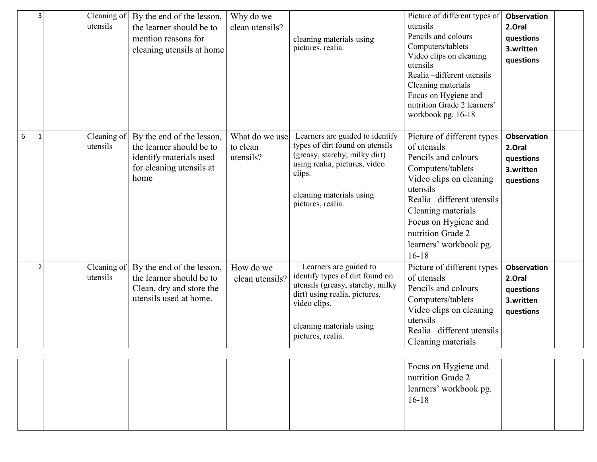|   | 3              | Cleaning of<br>utensils | By the end of the lesson,<br>the learner should be to<br>mention reasons for<br>cleaning utensils at home            | Why do we<br>clean utensils?            | cleaning materials using<br>pictures, realia.                                                                                                                                                   | Picture of different types of<br>utensils<br>Pencils and colours<br>Computers/tablets<br>Video clips on cleaning<br>utensils<br>Realia -different utensils<br>Cleaning materials<br>Focus on Hygiene and<br>nutrition Grade 2 learners'<br>workbook pg. 16-18      | <b>Observation</b><br>2.Oral<br>questions<br>3.written<br>questions |
|---|----------------|-------------------------|----------------------------------------------------------------------------------------------------------------------|-----------------------------------------|-------------------------------------------------------------------------------------------------------------------------------------------------------------------------------------------------|--------------------------------------------------------------------------------------------------------------------------------------------------------------------------------------------------------------------------------------------------------------------|---------------------------------------------------------------------|
| 6 | $\mathbf{1}$   | Cleaning of<br>utensils | By the end of the lesson,<br>the learner should be to<br>identify materials used<br>for cleaning utensils at<br>home | What do we use<br>to clean<br>utensils? | Learners are guided to identify<br>types of dirt found on utensils<br>(greasy, starchy, milky dirt)<br>using realia, pictures, video<br>clips.<br>cleaning materials using<br>pictures, realia. | Picture of different types<br>of utensils<br>Pencils and colours<br>Computers/tablets<br>Video clips on cleaning<br>utensils<br>Realia -different utensils<br>Cleaning materials<br>Focus on Hygiene and<br>nutrition Grade 2<br>learners' workbook pg.<br>$16-18$ | <b>Observation</b><br>2.Oral<br>questions<br>3.written<br>questions |
|   | $\overline{2}$ | Cleaning of<br>utensils | By the end of the lesson,<br>the learner should be to<br>Clean, dry and store the<br>utensils used at home.          | How do we<br>clean utensils?            | Learners are guided to<br>identify types of dirt found on<br>utensils (greasy, starchy, milky<br>dirt) using realia, pictures,<br>video clips.<br>cleaning materials using<br>pictures, realia. | Picture of different types<br>of utensils<br>Pencils and colours<br>Computers/tablets<br>Video clips on cleaning<br>utensils<br>Realia -different utensils<br>Cleaning materials                                                                                   | <b>Observation</b><br>2.Oral<br>questions<br>3.written<br>questions |

|  |  | Focus on Hygiene and<br>nutrition Grade 2<br>learners' workbook pg.<br>$16-18$ |
|--|--|--------------------------------------------------------------------------------|
|  |  |                                                                                |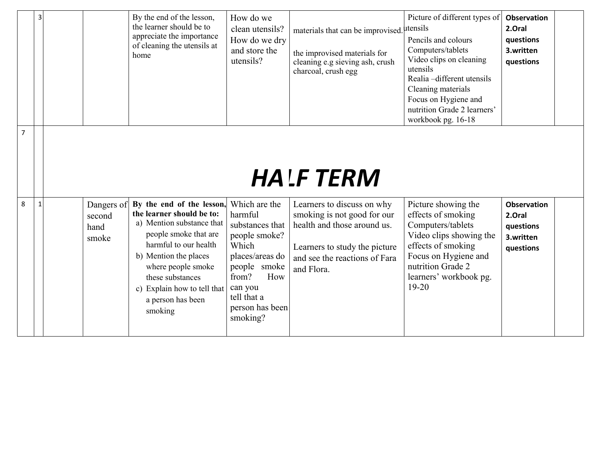|                | $\overline{3}$ |                                       | By the end of the lesson,<br>the learner should be to<br>appreciate the importance<br>of cleaning the utensils at<br>home                                                                                                                                               | How do we<br>clean utensils?<br>How do we dry<br>and store the<br>utensils?                                                                                                       | materials that can be improvised. utensils<br>the improvised materials for<br>cleaning e.g sieving ash, crush<br>charcoal, crush egg                                     | Picture of different types of<br>Pencils and colours<br>Computers/tablets<br>Video clips on cleaning<br>utensils<br>Realia -different utensils<br>Cleaning materials<br>Focus on Hygiene and<br>nutrition Grade 2 learners'<br>workbook pg. 16-18 | <b>Observation</b><br>2.Oral<br>questions<br>3.written<br>questions |  |
|----------------|----------------|---------------------------------------|-------------------------------------------------------------------------------------------------------------------------------------------------------------------------------------------------------------------------------------------------------------------------|-----------------------------------------------------------------------------------------------------------------------------------------------------------------------------------|--------------------------------------------------------------------------------------------------------------------------------------------------------------------------|---------------------------------------------------------------------------------------------------------------------------------------------------------------------------------------------------------------------------------------------------|---------------------------------------------------------------------|--|
| $\overline{7}$ |                |                                       |                                                                                                                                                                                                                                                                         |                                                                                                                                                                                   | <b>HALF TERM</b>                                                                                                                                                         |                                                                                                                                                                                                                                                   |                                                                     |  |
| 8              | $\mathbf{1}$   | Dangers of<br>second<br>hand<br>smoke | By the end of the lesson,<br>the learner should be to:<br>a) Mention substance that<br>people smoke that are<br>harmful to our health<br>b) Mention the places<br>where people smoke<br>these substances<br>c) Explain how to tell that<br>a person has been<br>smoking | Which are the<br>harmful<br>substances that<br>people smoke?<br>Which<br>places/areas do<br>people smoke<br>from?<br>How<br>can you<br>tell that a<br>person has been<br>smoking? | Learners to discuss on why<br>smoking is not good for our<br>health and those around us.<br>Learners to study the picture<br>and see the reactions of Fara<br>and Flora. | Picture showing the<br>effects of smoking<br>Computers/tablets<br>Video clips showing the<br>effects of smoking<br>Focus on Hygiene and<br>nutrition Grade 2<br>learners' workbook pg.<br>$19 - 20$                                               | <b>Observation</b><br>2.Oral<br>questions<br>3.written<br>questions |  |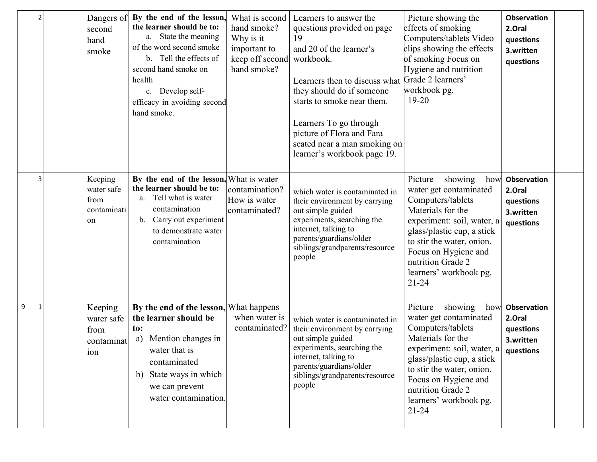| $\overline{2}$ | second<br>hand<br>smoke                            | Dangers of By the end of the lesson,<br>the learner should be to:<br>a. State the meaning<br>of the word second smoke<br>Tell the effects of<br>$b_{-}$<br>second hand smoke on<br>health<br>c. Develop self-<br>efficacy in avoiding second<br>hand smoke. | What is second<br>hand smoke?<br>Why is it<br>important to<br>keep off second<br>hand smoke? | Learners to answer the<br>questions provided on page<br>19<br>and 20 of the learner's<br>workbook.<br>Learners then to discuss what Grade 2 learners'<br>they should do if someone<br>starts to smoke near them.<br>Learners To go through<br>picture of Flora and Fara<br>seated near a man smoking on<br>learner's workbook page 19. | Picture showing the<br>effects of smoking<br>Computers/tablets Video<br>clips showing the effects<br>of smoking Focus on<br>Hygiene and nutrition<br>workbook pg.<br>$19 - 20$                                                                                             | <b>Observation</b><br>2.Oral<br>questions<br>3.written<br>questions |  |
|----------------|----------------------------------------------------|-------------------------------------------------------------------------------------------------------------------------------------------------------------------------------------------------------------------------------------------------------------|----------------------------------------------------------------------------------------------|----------------------------------------------------------------------------------------------------------------------------------------------------------------------------------------------------------------------------------------------------------------------------------------------------------------------------------------|----------------------------------------------------------------------------------------------------------------------------------------------------------------------------------------------------------------------------------------------------------------------------|---------------------------------------------------------------------|--|
| 3              | Keeping<br>water safe<br>from<br>contaminati<br>on | By the end of the lesson, What is water<br>the learner should be to:<br>a. Tell what is water<br>contamination<br>b. Carry out experiment<br>to demonstrate water<br>contamination                                                                          | contamination?<br>How is water<br>contaminated?                                              | which water is contaminated in<br>their environment by carrying<br>out simple guided<br>experiments, searching the<br>internet, talking to<br>parents/guardians/older<br>siblings/grandparents/resource<br>people                                                                                                                      | Picture<br>showing<br>how<br>water get contaminated<br>Computers/tablets<br>Materials for the<br>experiment: soil, water, a<br>glass/plastic cup, a stick<br>to stir the water, onion.<br>Focus on Hygiene and<br>nutrition Grade 2<br>learners' workbook pg.<br>$21 - 24$ | <b>Observation</b><br>2.Oral<br>questions<br>3.written<br>questions |  |
| 9              | Keeping<br>water safe<br>from<br>contaminat<br>ion | By the end of the lesson, What happens<br>the learner should be<br>to:<br>Mention changes in<br>a)<br>water that is<br>contaminated<br>State ways in which<br>b)<br>we can prevent<br>water contamination.                                                  | when water is<br>contaminated?                                                               | which water is contaminated in<br>their environment by carrying<br>out simple guided<br>experiments, searching the<br>internet, talking to<br>parents/guardians/older<br>siblings/grandparents/resource<br>people                                                                                                                      | Picture<br>showing<br>how<br>water get contaminated<br>Computers/tablets<br>Materials for the<br>experiment: soil, water, a<br>glass/plastic cup, a stick<br>to stir the water, onion.<br>Focus on Hygiene and<br>nutrition Grade 2<br>learners' workbook pg.<br>$21 - 24$ | <b>Observation</b><br>2.Oral<br>questions<br>3.written<br>questions |  |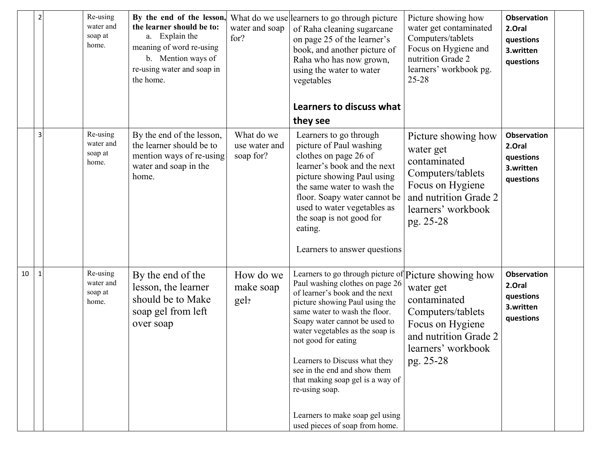|    | $\overline{2}$ | Re-using<br>water and<br>soap at<br>home. | By the end of the lesson,<br>the learner should be to:<br>a. Explain the<br>meaning of word re-using<br>b. Mention ways of<br>re-using water and soap in<br>the home. | water and soap<br>for?                   | What do we use learners to go through picture<br>of Raha cleaning sugarcane<br>on page 25 of the learner's<br>book, and another picture of<br>Raha who has now grown,<br>using the water to water<br>vegetables<br>Learners to discuss what                                                                                                                                                                                                                      | Picture showing how<br>water get contaminated<br>Computers/tablets<br>Focus on Hygiene and<br>nutrition Grade 2<br>learners' workbook pg.<br>25-28    | <b>Observation</b><br>2.Oral<br>questions<br>3.written<br>questions |  |
|----|----------------|-------------------------------------------|-----------------------------------------------------------------------------------------------------------------------------------------------------------------------|------------------------------------------|------------------------------------------------------------------------------------------------------------------------------------------------------------------------------------------------------------------------------------------------------------------------------------------------------------------------------------------------------------------------------------------------------------------------------------------------------------------|-------------------------------------------------------------------------------------------------------------------------------------------------------|---------------------------------------------------------------------|--|
|    |                |                                           |                                                                                                                                                                       |                                          | they see                                                                                                                                                                                                                                                                                                                                                                                                                                                         |                                                                                                                                                       |                                                                     |  |
|    | 3              | Re-using<br>water and<br>soap at<br>home. | By the end of the lesson,<br>the learner should be to<br>mention ways of re-using<br>water and soap in the<br>home.                                                   | What do we<br>use water and<br>soap for? | Learners to go through<br>picture of Paul washing<br>clothes on page 26 of<br>learner's book and the next<br>picture showing Paul using<br>the same water to wash the<br>floor. Soapy water cannot be<br>used to water vegetables as<br>the soap is not good for<br>eating.<br>Learners to answer questions                                                                                                                                                      | Picture showing how<br>water get<br>contaminated<br>Computers/tablets<br>Focus on Hygiene<br>and nutrition Grade 2<br>learners' workbook<br>pg. 25-28 | <b>Observation</b><br>2.Oral<br>questions<br>3.written<br>questions |  |
| 10 | $\mathbf{1}$   | Re-using<br>water and<br>soap at<br>home. | By the end of the<br>lesson, the learner<br>should be to Make<br>soap gel from left<br>over soap                                                                      | How do we<br>make soap<br>gel?           | Learners to go through picture of<br>Paul washing clothes on page 26<br>of learner's book and the next<br>picture showing Paul using the<br>same water to wash the floor.<br>Soapy water cannot be used to<br>water vegetables as the soap is<br>not good for eating<br>Learners to Discuss what they<br>see in the end and show them<br>that making soap gel is a way of<br>re-using soap.<br>Learners to make soap gel using<br>used pieces of soap from home. | Picture showing how<br>water get<br>contaminated<br>Computers/tablets<br>Focus on Hygiene<br>and nutrition Grade 2<br>learners' workbook<br>pg. 25-28 | <b>Observation</b><br>2.Oral<br>questions<br>3.written<br>questions |  |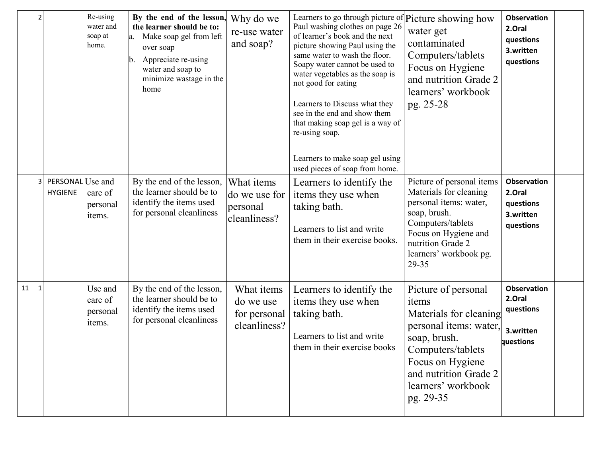|    | $\overline{2}$          |                                    | Re-using<br>water and<br>soap at<br>home. | By the end of the lesson,<br>the learner should be to:<br>Make soap gel from left<br>a.<br>over soap<br>Appreciate re-using<br>b.<br>water and soap to<br>minimize wastage in the<br>home | Why do we<br>re-use water<br>and soap?                  | Learners to go through picture of Picture showing how<br>Paul washing clothes on page 26<br>of learner's book and the next<br>picture showing Paul using the<br>same water to wash the floor.<br>Soapy water cannot be used to<br>water vegetables as the soap is<br>not good for eating<br>Learners to Discuss what they<br>see in the end and show them<br>that making soap gel is a way of<br>re-using soap.<br>Learners to make soap gel using<br>used pieces of soap from home. | water get<br>contaminated<br>Computers/tablets<br>Focus on Hygiene<br>and nutrition Grade 2<br>learners' workbook<br>pg. 25-28                                                                        | <b>Observation</b><br>2.Oral<br>questions<br>3.written<br>questions |
|----|-------------------------|------------------------------------|-------------------------------------------|-------------------------------------------------------------------------------------------------------------------------------------------------------------------------------------------|---------------------------------------------------------|--------------------------------------------------------------------------------------------------------------------------------------------------------------------------------------------------------------------------------------------------------------------------------------------------------------------------------------------------------------------------------------------------------------------------------------------------------------------------------------|-------------------------------------------------------------------------------------------------------------------------------------------------------------------------------------------------------|---------------------------------------------------------------------|
|    | $\overline{\mathbf{3}}$ | PERSONAL Use and<br><b>HYGIENE</b> | care of<br>personal<br>items.             | By the end of the lesson,<br>the learner should be to<br>identify the items used<br>for personal cleanliness                                                                              | What items<br>do we use for<br>personal<br>cleanliness? | Learners to identify the<br>items they use when<br>taking bath.<br>Learners to list and write<br>them in their exercise books.                                                                                                                                                                                                                                                                                                                                                       | Picture of personal items<br>Materials for cleaning<br>personal items: water,<br>soap, brush.<br>Computers/tablets<br>Focus on Hygiene and<br>nutrition Grade 2<br>learners' workbook pg.<br>29-35    | <b>Observation</b><br>2.Oral<br>questions<br>3.written<br>questions |
| 11 | $\mathbf{1}$            |                                    | Use and<br>care of<br>personal<br>items.  | By the end of the lesson,<br>the learner should be to<br>identify the items used<br>for personal cleanliness                                                                              | What items<br>do we use<br>for personal<br>cleanliness? | Learners to identify the<br>items they use when<br>taking bath.<br>Learners to list and write<br>them in their exercise books                                                                                                                                                                                                                                                                                                                                                        | Picture of personal<br>items<br>Materials for cleaning<br>personal items: water,<br>soap, brush.<br>Computers/tablets<br>Focus on Hygiene<br>and nutrition Grade 2<br>learners' workbook<br>pg. 29-35 | <b>Observation</b><br>2.Oral<br>questions<br>3.written<br>questions |